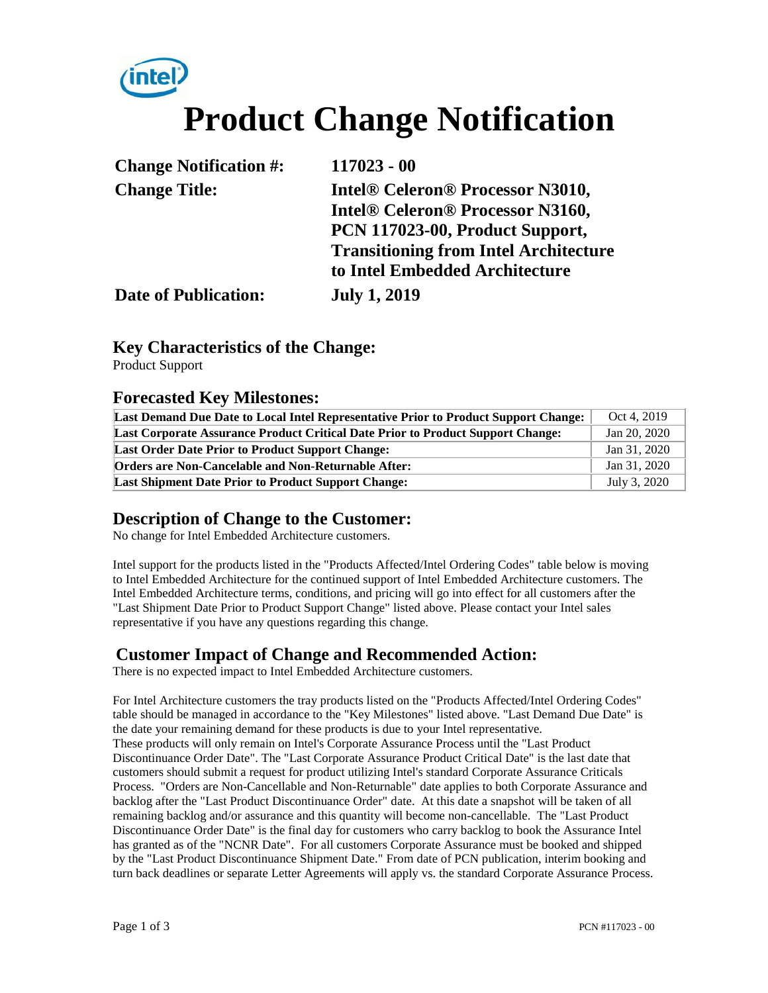

| <b>Change Notification #:</b> | $117023 - 00$                                |
|-------------------------------|----------------------------------------------|
| <b>Change Title:</b>          | <b>Intel® Celeron® Processor N3010,</b>      |
|                               | <b>Intel® Celeron® Processor N3160,</b>      |
|                               | PCN 117023-00, Product Support,              |
|                               | <b>Transitioning from Intel Architecture</b> |
|                               | to Intel Embedded Architecture               |
| <b>Date of Publication:</b>   | <b>July 1, 2019</b>                          |

### **Key Characteristics of the Change:**

Product Support

#### **Forecasted Key Milestones:**

| Last Demand Due Date to Local Intel Representative Prior to Product Support Change:    | Oct 4, 2019  |
|----------------------------------------------------------------------------------------|--------------|
| <b>Last Corporate Assurance Product Critical Date Prior to Product Support Change:</b> | Jan 20, 2020 |
| <b>Last Order Date Prior to Product Support Change:</b>                                | Jan 31, 2020 |
| <b>Orders are Non-Cancelable and Non-Returnable After:</b>                             | Jan 31, 2020 |
| <b>Last Shipment Date Prior to Product Support Change:</b>                             | July 3, 2020 |

### **Description of Change to the Customer:**

No change for Intel Embedded Architecture customers.

Intel support for the products listed in the "Products Affected/Intel Ordering Codes" table below is moving to Intel Embedded Architecture for the continued support of Intel Embedded Architecture customers. The Intel Embedded Architecture terms, conditions, and pricing will go into effect for all customers after the "Last Shipment Date Prior to Product Support Change" listed above. Please contact your Intel sales representative if you have any questions regarding this change.

## **Customer Impact of Change and Recommended Action:**

There is no expected impact to Intel Embedded Architecture customers.

For Intel Architecture customers the tray products listed on the "Products Affected/Intel Ordering Codes" table should be managed in accordance to the "Key Milestones" listed above. "Last Demand Due Date" is the date your remaining demand for these products is due to your Intel representative. These products will only remain on Intel's Corporate Assurance Process until the "Last Product Discontinuance Order Date". The "Last Corporate Assurance Product Critical Date" is the last date that customers should submit a request for product utilizing Intel's standard Corporate Assurance Criticals Process. "Orders are Non-Cancellable and Non-Returnable" date applies to both Corporate Assurance and backlog after the "Last Product Discontinuance Order" date. At this date a snapshot will be taken of all remaining backlog and/or assurance and this quantity will become non-cancellable. The "Last Product Discontinuance Order Date" is the final day for customers who carry backlog to book the Assurance Intel has granted as of the "NCNR Date". For all customers Corporate Assurance must be booked and shipped by the "Last Product Discontinuance Shipment Date." From date of PCN publication, interim booking and turn back deadlines or separate Letter Agreements will apply vs. the standard Corporate Assurance Process.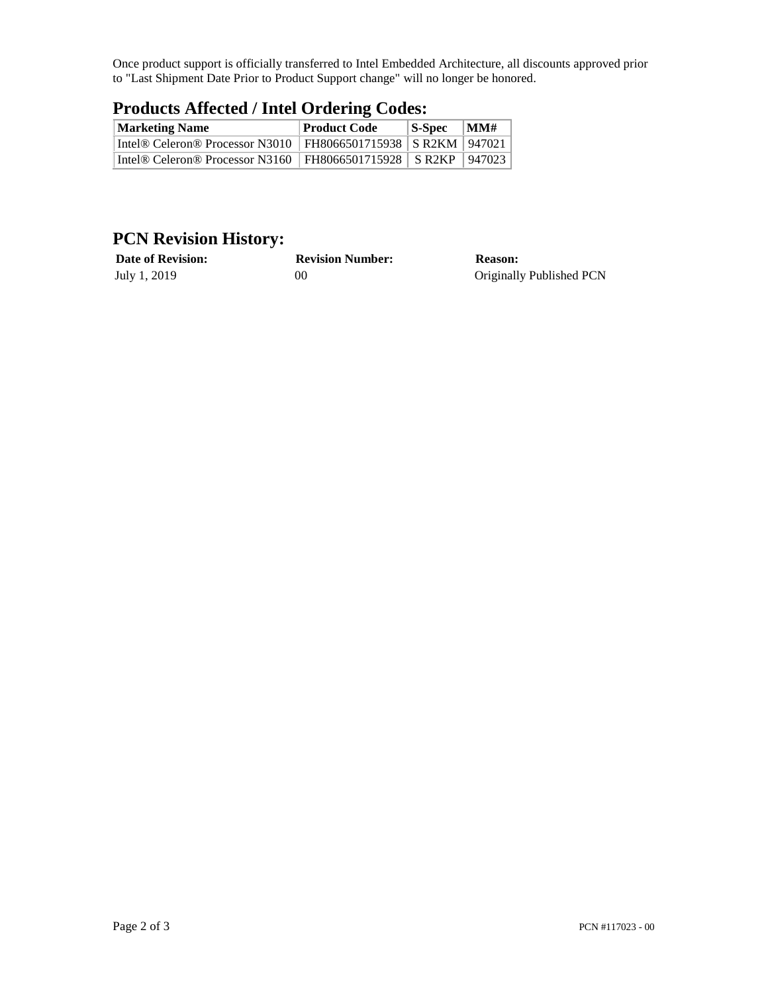Once product support is officially transferred to Intel Embedded Architecture, all discounts approved prior to "Last Shipment Date Prior to Product Support change" will no longer be honored.

| Troutely America / Thier Ordering Couco.                           |              |            |                |  |  |
|--------------------------------------------------------------------|--------------|------------|----------------|--|--|
| <b>Marketing Name</b>                                              | Product Code | $ S-Spec $ | $\mathbf{MMH}$ |  |  |
| Intel® Celeron® Processor N3010   FH8066501715938   SR2KM   947021 |              |            |                |  |  |
| Intel® Celeron® Processor N3160   FH8066501715928   SR2KP   947023 |              |            |                |  |  |

# **Products Affected / Intel Ordering Codes:**

# **PCN Revision History:**

| <b>Date of Revision:</b> | <b>Revision Number:</b> | <b>Reason:</b>           |
|--------------------------|-------------------------|--------------------------|
| July 1, 2019             | 00                      | Originally Published PCN |